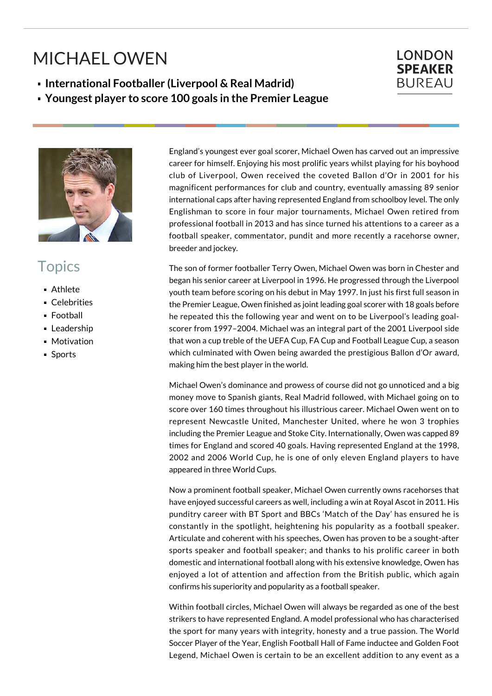## MICHAEL OWEN

**International Footballer (Liverpool & Real Madrid)**

**Youngest player to score 100 goals in the Premier League**



## **Topics**

- Athlete
- Celebrities
- Football
- **Leadership**
- **Motivation**
- Sports

England's youngest ever goal scorer, Michael Owen has carved out an impressive career for himself. Enjoying his most prolific years whilst playing for his boyhood club of Liverpool, Owen received the coveted Ballon d'Or in 2001 for his magnificent performances for club and country, eventually amassing 89 senior international caps after having represented England from schoolboy level. The only Englishman to score in four major tournaments, Michael Owen retired from professional football in 2013 and has since turned his attentions to a career as a football speaker, commentator, pundit and more recently a racehorse owner, breeder and jockey.

The son of former footballer Terry Owen, Michael Owen was born in Chester and began his senior career at Liverpool in 1996. He progressed through the Liverpool youth team before scoring on his debut in May 1997. In just his first full season in the Premier League, Owen finished as joint leading goal scorer with 18 goals before he repeated this the following year and went on to be Liverpool's leading goalscorer from 1997–2004. Michael was an integral part of the 2001 Liverpool side that won a cup treble of the UEFA Cup, FA Cup and Football League Cup, a season which culminated with Owen being awarded the prestigious Ballon d'Or award, making him the best player in the world.

Michael Owen's dominance and prowess of course did not go unnoticed and a big money move to Spanish giants, Real Madrid followed, with Michael going on to score over 160 times throughout his illustrious career. Michael Owen went on to represent Newcastle United, Manchester United, where he won 3 trophies including the Premier League and Stoke City. Internationally, Owen was capped 89 times for England and scored 40 goals. Having represented England at the 1998, 2002 and 2006 World Cup, he is one of only eleven England players to have appeared in three World Cups.

Now a prominent football speaker, Michael Owen currently owns racehorses that have enjoyed successful careers as well, including a win at Royal Ascot in 2011. His punditry career with BT Sport and BBCs 'Match of the Day' has ensured he is constantly in the spotlight, heightening his popularity as a football speaker. Articulate and coherent with his speeches, Owen has proven to be a sought-after sports speaker and football speaker; and thanks to his prolific career in both domestic and international football along with his extensive knowledge, Owen has enjoyed a lot of attention and affection from the British public, which again confirms his superiority and popularity as a football speaker.

Within football circles, Michael Owen will always be regarded as one of the best strikers to have represented England. A model professional who has characterised the sport for many years with integrity, honesty and a true passion. The World Soccer Player of the Year, English Football Hall of Fame inductee and Golden Foot Legend, Michael Owen is certain to be an excellent addition to any event as a